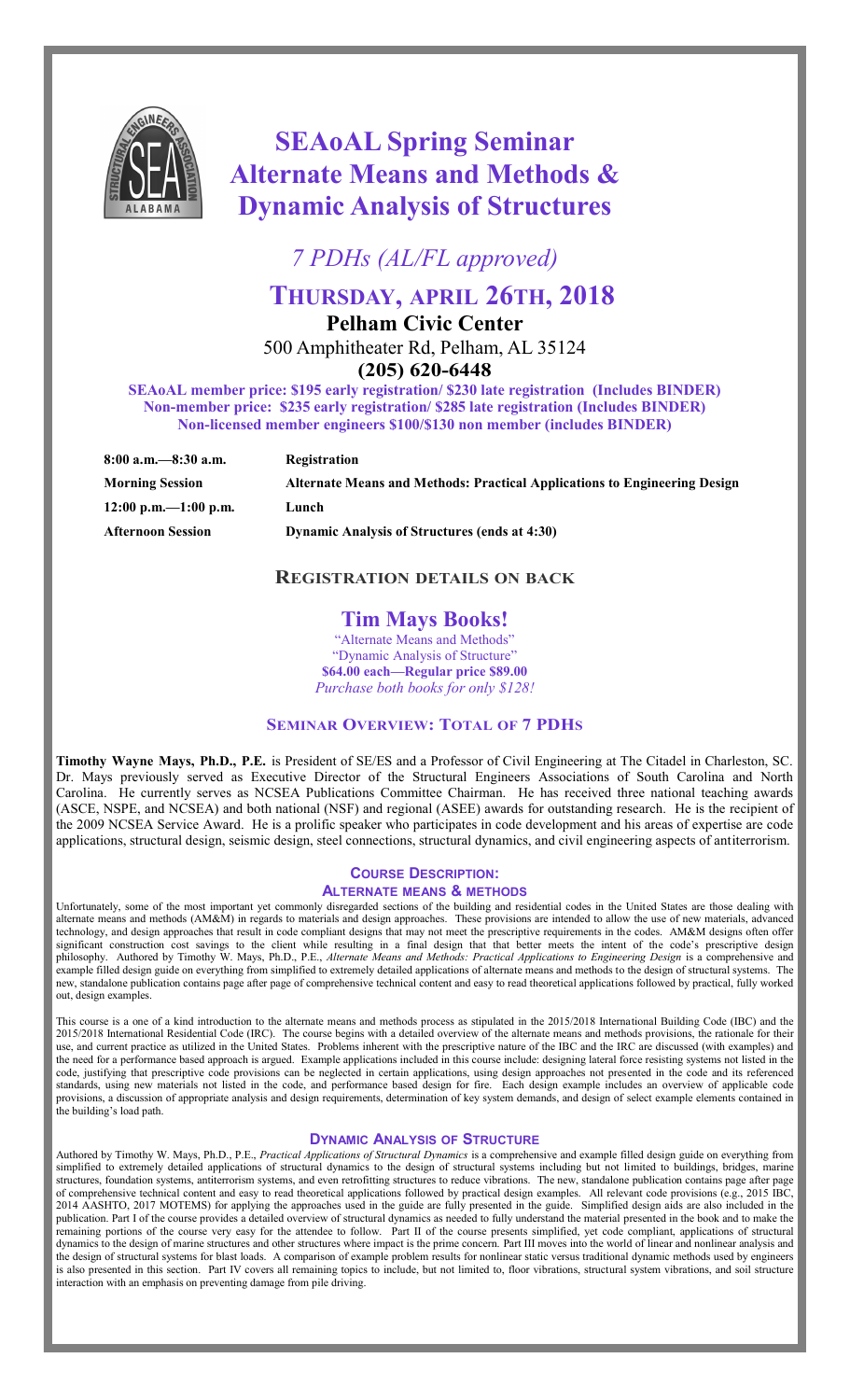

# **SEAoAL Spring Seminar Alternate Means and Methods & Dynamic Analysis of Structures**

*7 PDHs (AL/FL approved)*

# **THURSDAY, APRIL 26TH, 2018**

**Pelham Civic Center**

500 Amphitheater Rd, Pelham, AL 35124

**(205) 620-6448**

**SEAoAL member price: \$195 early registration/ \$230 late registration (Includes BINDER) Non-member price: \$235 early registration/ \$285 late registration (Includes BINDER) Non-licensed member engineers \$100/\$130 non member (includes BINDER)**

| $8:00$ a.m. $-8:30$ a.m.                 | Registration                                                              |
|------------------------------------------|---------------------------------------------------------------------------|
| <b>Morning Session</b>                   | Alternate Means and Methods: Practical Applications to Engineering Design |
| $12:00 \text{ p.m.} - 1:00 \text{ p.m.}$ | Lunch                                                                     |
| <b>Afternoon Session</b>                 | <b>Dynamic Analysis of Structures (ends at 4:30)</b>                      |

### **REGISTRATION DETAILS ON BACK**

## **Tim Mays Books!**

"Alternate Means and Methods" "Dynamic Analysis of Structure" **\$64.00 each—Regular price \$89.00** *Purchase both books for only \$128!*

### **SEMINAR OVERVIEW: TOTAL OF 7 PDHS**

**Timothy Wayne Mays, Ph.D., P.E.** is President of SE/ES and a Professor of Civil Engineering at The Citadel in Charleston, SC. Dr. Mays previously served as Executive Director of the Structural Engineers Associations of South Carolina and North Carolina. He currently serves as NCSEA Publications Committee Chairman. He has received three national teaching awards (ASCE, NSPE, and NCSEA) and both national (NSF) and regional (ASEE) awards for outstanding research. He is the recipient of the 2009 NCSEA Service Award. He is a prolific speaker who participates in code development and his areas of expertise are code applications, structural design, seismic design, steel connections, structural dynamics, and civil engineering aspects of antiterrorism.

#### **COURSE DESCRIPTION:**

#### **ALTERNATE MEANS & METHODS**

Unfortunately, some of the most important yet commonly disregarded sections of the building and residential codes in the United States are those dealing with alternate means and methods (AM&M) in regards to materials and design approaches. These provisions are intended to allow the use of new materials, advanced technology, and design approaches that result in code compliant designs that may not meet the prescriptive requirements in the codes. AM&M designs often offer significant construction cost savings to the client while resulting in a final design that that better meets the intent of the code's prescriptive design philosophy. Authored by Timothy W. Mays, Ph.D., P.E., *Alternate Means and Methods: Practical Applications to Engineering Design* is a comprehensive and example filled design guide on everything from simplified to extremely detailed applications of alternate means and methods to the design of structural systems. The new, standalone publication contains page after page of comprehensive technical content and easy to read theoretical applications followed by practical, fully worked out, design examples.

This course is a one of a kind introduction to the alternate means and methods process as stipulated in the 2015/2018 International Building Code (IBC) and the 2015/2018 International Residential Code (IRC). The course begins with a detailed overview of the alternate means and methods provisions, the rationale for their use, and current practice as utilized in the United States. Problems inherent with the prescriptive nature of the IBC and the IRC are discussed (with examples) and the need for a performance based approach is argued. Example applications included in this course include: designing lateral force resisting systems not listed in the code, justifying that prescriptive code provisions can be neglected in certain applications, using design approaches not presented in the code and its referenced standards, using new materials not listed in the code, and performance based design for fire. Each design example includes an overview of applicable code provisions, a discussion of appropriate analysis and design requirements, determination of key system demands, and design of select example elements contained in .<br>the building's load path.

#### **DYNAMIC ANALYSIS OF STRUCTURE**

Authored by Timothy W. Mays, Ph.D., P.E., *Practical Applications of Structural Dynamics* is a comprehensive and example filled design guide on everything from simplified to extremely detailed applications of structural dynamics to the design of structural systems including but not limited to buildings, bridges, marine structures, foundation systems, antiterrorism systems, and even retrofitting structures to reduce vibrations. The new, standalone publication contains page after page of comprehensive technical content and easy to read theoretical applications followed by practical design examples. All relevant code provisions (e.g., 2015 IBC, 2014 AASHTO, 2017 MOTEMS) for applying the approaches used in the guide are fully presented in the guide. Simplified design aids are also included in the publication. Part I of the course provides a detailed overview of structural dynamics as needed to fully understand the material presented in the book and to make the remaining portions of the course very easy for the attendee to follow. Part II of the course presents simplified, yet code compliant, applications of structural dynamics to the design of marine structures and other structures where impact is the prime concern. Part III moves into the world of linear and nonlinear analysis and the design of structural systems for blast loads. A comparison of example problem results for nonlinear static versus traditional dynamic methods used by engineers is also presented in this section. Part IV covers all remaining topics to include, but not limited to, floor vibrations, structural system vibrations, and soil structure interaction with an emphasis on preventing damage from pile driving.